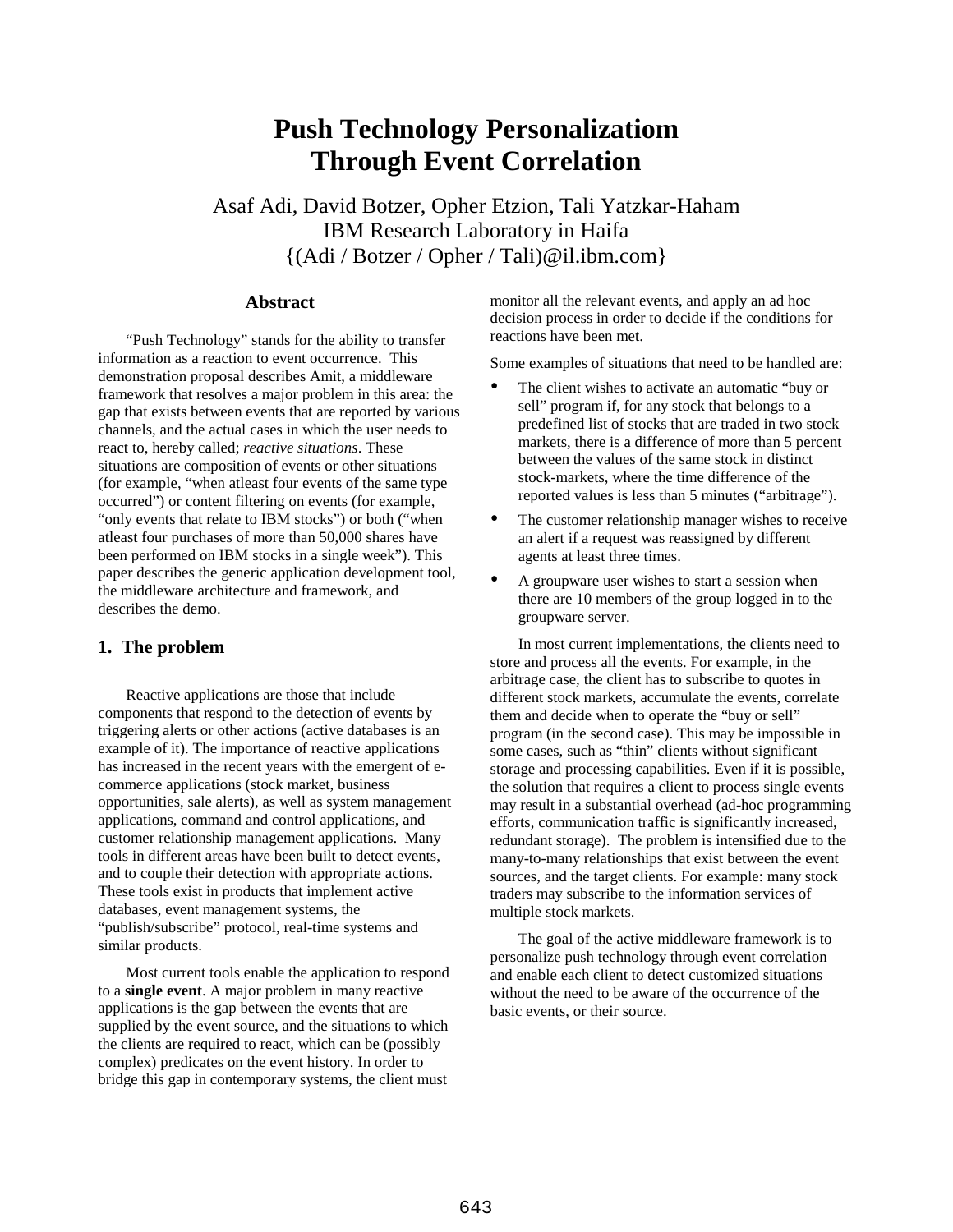# **Push Technology Personalizatiom Through Event Correlation**

Asaf Adi, David Botzer, Opher Etzion, Tali Yatzkar-Haham IBM Research Laboratory in Haifa {(Adi / Botzer / Opher / Tali)@il.ibm.com}

# **Abstract**

"Push Technology" stands for the ability to transfer information as a reaction to event occurrence. This demonstration proposal describes Amit, a middleware framework that resolves a major problem in this area: the gap that exists between events that are reported by various channels, and the actual cases in which the user needs to react to, hereby called; *reactive situations*. These situations are composition of events or other situations (for example, "when atleast four events of the same type occurred") or content filtering on events (for example, "only events that relate to IBM stocks") or both ("when atleast four purchases of more than 50,000 shares have been performed on IBM stocks in a single week"). This paper describes the generic application development tool, the middleware architecture and framework, and describes the demo.

## **1. The problem**

Reactive applications are those that include components that respond to the detection of events by triggering alerts or other actions (active databases is an example of it). The importance of reactive applications has increased in the recent years with the emergent of ecommerce applications (stock market, business opportunities, sale alerts), as well as system management applications, command and control applications, and customer relationship management applications. Many tools in different areas have been built to detect events, and to couple their detection with appropriate actions. These tools exist in products that implement active databases, event management systems, the "publish/subscribe" protocol, real-time systems and similar products.

Most current tools enable the application to respond to a **single event**. A major problem in many reactive applications is the gap between the events that are supplied by the event source, and the situations to which the clients are required to react, which can be (possibly complex) predicates on the event history. In order to bridge this gap in contemporary systems, the client must monitor all the relevant events, and apply an ad hoc decision process in order to decide if the conditions for reactions have been met.

Some examples of situations that need to be handled are:

- The client wishes to activate an automatic "buy or sell" program if, for any stock that belongs to a predefined list of stocks that are traded in two stock markets, there is a difference of more than 5 percent between the values of the same stock in distinct stock-markets, where the time difference of the reported values is less than 5 minutes ("arbitrage").
- The customer relationship manager wishes to receive an alert if a request was reassigned by different agents at least three times.
- A groupware user wishes to start a session when there are 10 members of the group logged in to the groupware server.

In most current implementations, the clients need to store and process all the events. For example, in the arbitrage case, the client has to subscribe to quotes in different stock markets, accumulate the events, correlate them and decide when to operate the "buy or sell" program (in the second case). This may be impossible in some cases, such as "thin" clients without significant storage and processing capabilities. Even if it is possible, the solution that requires a client to process single events may result in a substantial overhead (ad-hoc programming efforts, communication traffic is significantly increased, redundant storage). The problem is intensified due to the many-to-many relationships that exist between the event sources, and the target clients. For example: many stock traders may subscribe to the information services of multiple stock markets.

The goal of the active middleware framework is to personalize push technology through event correlation and enable each client to detect customized situations without the need to be aware of the occurrence of the basic events, or their source.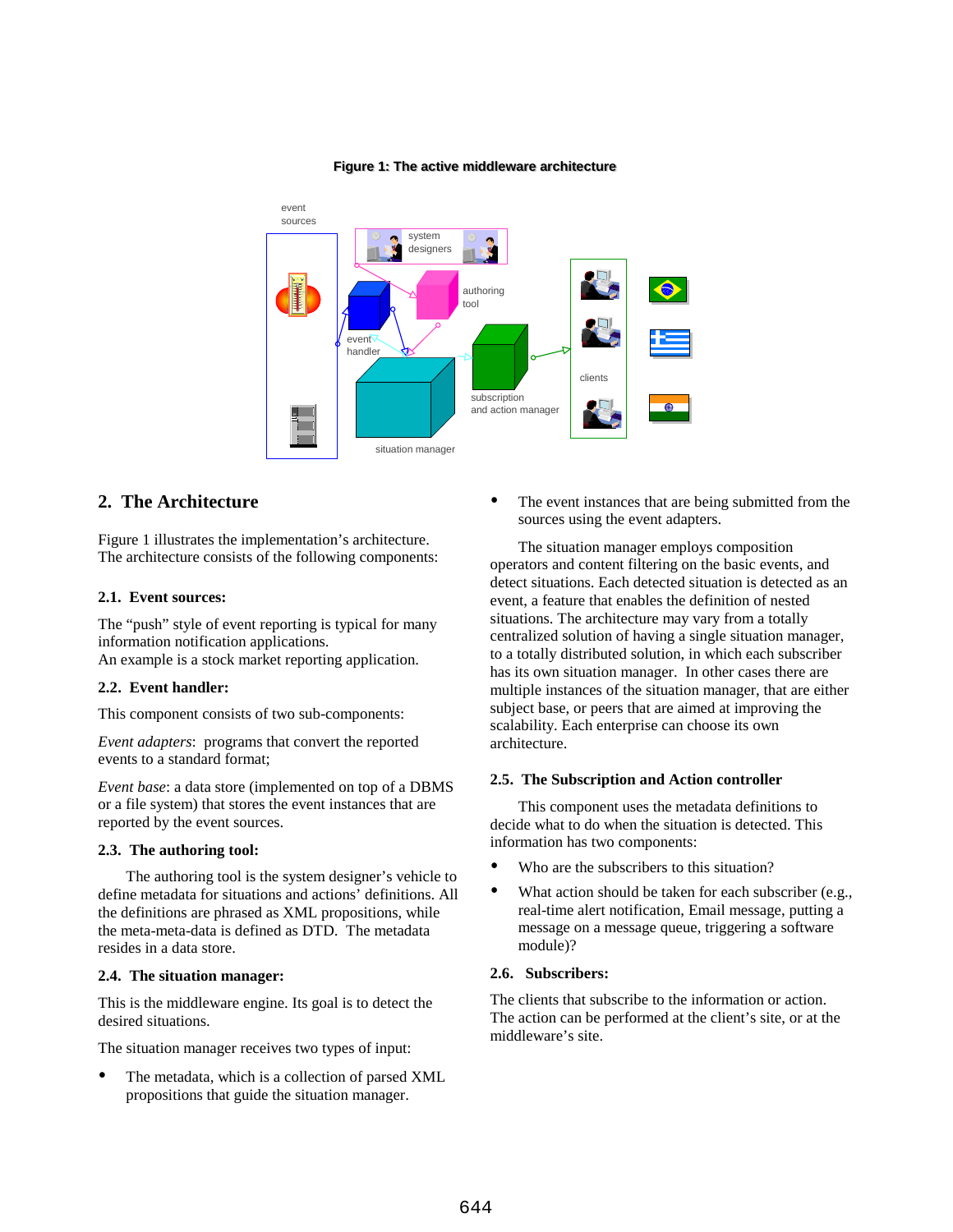

#### **Figure 1: The active middleware architecture Figure 1: The active middleware architecture**

# **2. The Architecture**

Figure 1 illustrates the implementation's architecture. The architecture consists of the following components:

#### **2.1. Event sources:**

The "push" style of event reporting is typical for many information notification applications.

An example is a stock market reporting application.

### **2.2. Event handler:**

This component consists of two sub-components:

*Event adapters*: programs that convert the reported events to a standard format;

*Event base*: a data store (implemented on top of a DBMS or a file system) that stores the event instances that are reported by the event sources.

### **2.3. The authoring tool:**

The authoring tool is the system designer's vehicle to define metadata for situations and actions' definitions. All the definitions are phrased as XML propositions, while the meta-meta-data is defined as DTD. The metadata resides in a data store.

#### **2.4. The situation manager:**

This is the middleware engine. Its goal is to detect the desired situations.

The situation manager receives two types of input:

 The metadata, which is a collection of parsed XML propositions that guide the situation manager.

• The event instances that are being submitted from the sources using the event adapters.

The situation manager employs composition operators and content filtering on the basic events, and detect situations. Each detected situation is detected as an event, a feature that enables the definition of nested situations. The architecture may vary from a totally centralized solution of having a single situation manager, to a totally distributed solution, in which each subscriber has its own situation manager. In other cases there are multiple instances of the situation manager, that are either subject base, or peers that are aimed at improving the scalability. Each enterprise can choose its own architecture.

#### **2.5. The Subscription and Action controller**

This component uses the metadata definitions to decide what to do when the situation is detected. This information has two components:

- Who are the subscribers to this situation?
- What action should be taken for each subscriber (e.g., real-time alert notification, Email message, putting a message on a message queue, triggering a software module)?

## **2.6. Subscribers:**

The clients that subscribe to the information or action. The action can be performed at the client's site, or at the middleware's site.